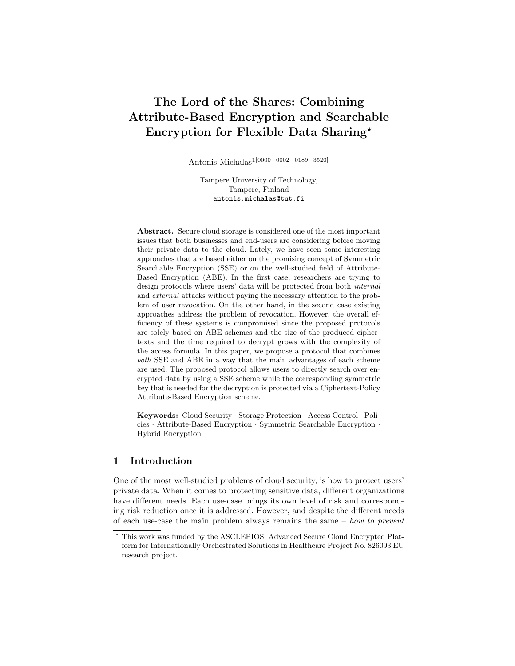# The Lord of the Shares: Combining Attribute-Based Encryption and Searchable Encryption for Flexible Data Sharing?

Antonis Michalas1[0000−0002−0189−3520]

Tampere University of Technology, Tampere, Finland antonis.michalas@tut.fi

Abstract. Secure cloud storage is considered one of the most important issues that both businesses and end-users are considering before moving their private data to the cloud. Lately, we have seen some interesting approaches that are based either on the promising concept of Symmetric Searchable Encryption (SSE) or on the well-studied field of Attribute-Based Encryption (ABE). In the first case, researchers are trying to design protocols where users' data will be protected from both internal and external attacks without paying the necessary attention to the problem of user revocation. On the other hand, in the second case existing approaches address the problem of revocation. However, the overall efficiency of these systems is compromised since the proposed protocols are solely based on ABE schemes and the size of the produced ciphertexts and the time required to decrypt grows with the complexity of the access formula. In this paper, we propose a protocol that combines both SSE and ABE in a way that the main advantages of each scheme are used. The proposed protocol allows users to directly search over encrypted data by using a SSE scheme while the corresponding symmetric key that is needed for the decryption is protected via a Ciphertext-Policy Attribute-Based Encryption scheme.

Keywords: Cloud Security · Storage Protection · Access Control · Policies · Attribute-Based Encryption · Symmetric Searchable Encryption · Hybrid Encryption

## 1 Introduction

One of the most well-studied problems of cloud security, is how to protect users' private data. When it comes to protecting sensitive data, different organizations have different needs. Each use-case brings its own level of risk and corresponding risk reduction once it is addressed. However, and despite the different needs of each use-case the main problem always remains the same  $-$  how to prevent

<sup>?</sup> This work was funded by the ASCLEPIOS: Advanced Secure Cloud Encrypted Platform for Internationally Orchestrated Solutions in Healthcare Project No. 826093 EU research project.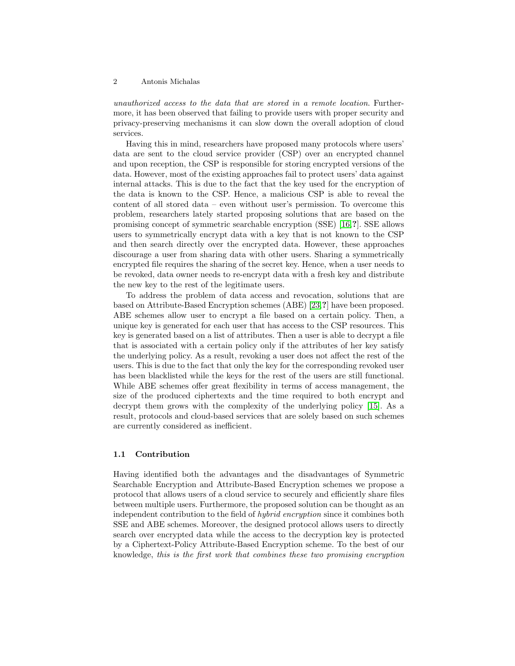unauthorized access to the data that are stored in a remote location. Furthermore, it has been observed that failing to provide users with proper security and privacy-preserving mechanisms it can slow down the overall adoption of cloud services.

Having this in mind, researchers have proposed many protocols where users' data are sent to the cloud service provider (CSP) over an encrypted channel and upon reception, the CSP is responsible for storing encrypted versions of the data. However, most of the existing approaches fail to protect users' data against internal attacks. This is due to the fact that the key used for the encryption of the data is known to the CSP. Hence, a malicious CSP is able to reveal the content of all stored data – even without user's permission. To overcome this problem, researchers lately started proposing solutions that are based on the promising concept of symmetric searchable encryption (SSE) [\[16,](#page-23-0)?]. SSE allows users to symmetrically encrypt data with a key that is not known to the CSP and then search directly over the encrypted data. However, these approaches discourage a user from sharing data with other users. Sharing a symmetrically encrypted file requires the sharing of the secret key. Hence, when a user needs to be revoked, data owner needs to re-encrypt data with a fresh key and distribute the new key to the rest of the legitimate users.

To address the problem of data access and revocation, solutions that are based on Attribute-Based Encryption schemes (ABE) [\[23,](#page-23-1)?] have been proposed. ABE schemes allow user to encrypt a file based on a certain policy. Then, a unique key is generated for each user that has access to the CSP resources. This key is generated based on a list of attributes. Then a user is able to decrypt a file that is associated with a certain policy only if the attributes of her key satisfy the underlying policy. As a result, revoking a user does not affect the rest of the users. This is due to the fact that only the key for the corresponding revoked user has been blacklisted while the keys for the rest of the users are still functional. While ABE schemes offer great flexibility in terms of access management, the size of the produced ciphertexts and the time required to both encrypt and decrypt them grows with the complexity of the underlying policy [\[15\]](#page-23-2). As a result, protocols and cloud-based services that are solely based on such schemes are currently considered as inefficient.

## 1.1 Contribution

Having identified both the advantages and the disadvantages of Symmetric Searchable Encryption and Attribute-Based Encryption schemes we propose a protocol that allows users of a cloud service to securely and efficiently share files between multiple users. Furthermore, the proposed solution can be thought as an independent contribution to the field of hybrid encryption since it combines both SSE and ABE schemes. Moreover, the designed protocol allows users to directly search over encrypted data while the access to the decryption key is protected by a Ciphertext-Policy Attribute-Based Encryption scheme. To the best of our knowledge, this is the first work that combines these two promising encryption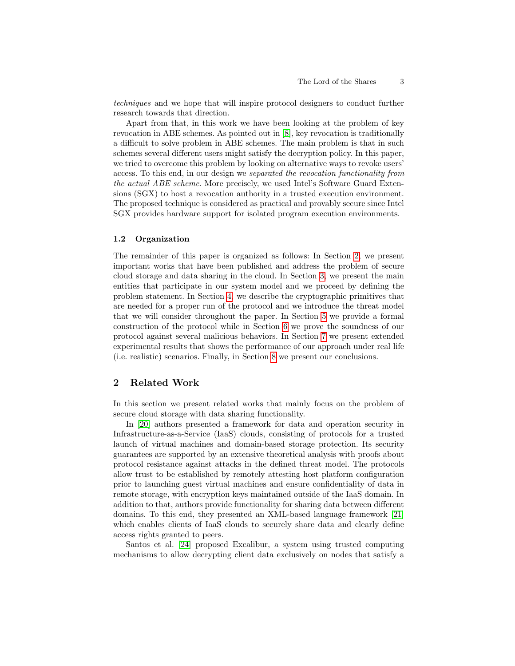techniques and we hope that will inspire protocol designers to conduct further research towards that direction.

Apart from that, in this work we have been looking at the problem of key revocation in ABE schemes. As pointed out in [\[8\]](#page-22-0), key revocation is traditionally a difficult to solve problem in ABE schemes. The main problem is that in such schemes several different users might satisfy the decryption policy. In this paper, we tried to overcome this problem by looking on alternative ways to revoke users' access. To this end, in our design we separated the revocation functionality from the actual ABE scheme. More precisely, we used Intel's Software Guard Extensions (SGX) to host a revocation authority in a trusted execution environment. The proposed technique is considered as practical and provably secure since Intel SGX provides hardware support for isolated program execution environments.

## 1.2 Organization

The remainder of this paper is organized as follows: In Section [2,](#page-2-0) we present important works that have been published and address the problem of secure cloud storage and data sharing in the cloud. In Section [3,](#page-4-0) we present the main entities that participate in our system model and we proceed by defining the problem statement. In Section [4,](#page-6-0) we describe the cryptographic primitives that are needed for a proper run of the protocol and we introduce the threat model that we will consider throughout the paper. In Section [5](#page-9-0) we provide a formal construction of the protocol while in Section [6](#page-12-0) we prove the soundness of our protocol against several malicious behaviors. In Section [7](#page-16-0) we present extended experimental results that shows the performance of our approach under real life (i.e. realistic) scenarios. Finally, in Section [8](#page-22-1) we present our conclusions.

# <span id="page-2-0"></span>2 Related Work

In this section we present related works that mainly focus on the problem of secure cloud storage with data sharing functionality.

In [\[20\]](#page-23-3) authors presented a framework for data and operation security in Infrastructure-as-a-Service (IaaS) clouds, consisting of protocols for a trusted launch of virtual machines and domain-based storage protection. Its security guarantees are supported by an extensive theoretical analysis with proofs about protocol resistance against attacks in the defined threat model. The protocols allow trust to be established by remotely attesting host platform configuration prior to launching guest virtual machines and ensure confidentiality of data in remote storage, with encryption keys maintained outside of the IaaS domain. In addition to that, authors provide functionality for sharing data between different domains. To this end, they presented an XML-based language framework [\[21\]](#page-23-4) which enables clients of IaaS clouds to securely share data and clearly define access rights granted to peers.

Santos et al. [\[24\]](#page-24-0) proposed Excalibur, a system using trusted computing mechanisms to allow decrypting client data exclusively on nodes that satisfy a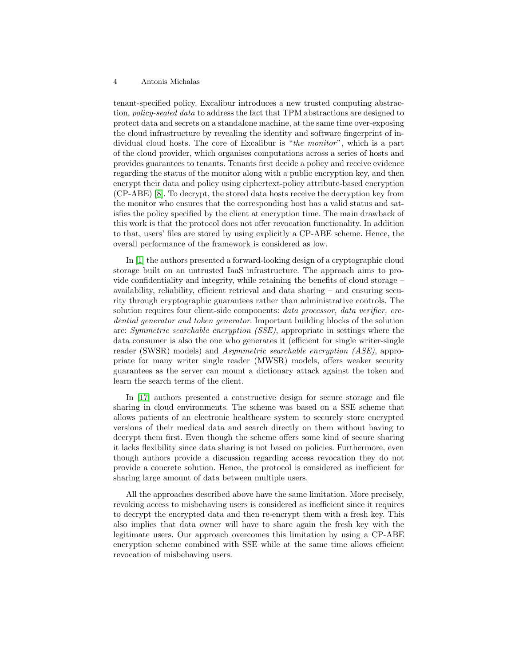tenant-specified policy. Excalibur introduces a new trusted computing abstraction, policy-sealed data to address the fact that TPM abstractions are designed to protect data and secrets on a standalone machine, at the same time over-exposing the cloud infrastructure by revealing the identity and software fingerprint of individual cloud hosts. The core of Excalibur is "the monitor", which is a part of the cloud provider, which organises computations across a series of hosts and provides guarantees to tenants. Tenants first decide a policy and receive evidence regarding the status of the monitor along with a public encryption key, and then encrypt their data and policy using ciphertext-policy attribute-based encryption (CP-ABE) [\[8\]](#page-22-0). To decrypt, the stored data hosts receive the decryption key from the monitor who ensures that the corresponding host has a valid status and satisfies the policy specified by the client at encryption time. The main drawback of this work is that the protocol does not offer revocation functionality. In addition to that, users' files are stored by using explicitly a CP-ABE scheme. Hence, the overall performance of the framework is considered as low.

In [\[1\]](#page-22-2) the authors presented a forward-looking design of a cryptographic cloud storage built on an untrusted IaaS infrastructure. The approach aims to provide confidentiality and integrity, while retaining the benefits of cloud storage – availability, reliability, efficient retrieval and data sharing – and ensuring security through cryptographic guarantees rather than administrative controls. The solution requires four client-side components: *data processor*, *data verifier*, *cre*dential generator and token generator. Important building blocks of the solution are: Symmetric searchable encryption (SSE), appropriate in settings where the data consumer is also the one who generates it (efficient for single writer-single reader (SWSR) models) and Asymmetric searchable encryption (ASE), appropriate for many writer single reader (MWSR) models, offers weaker security guarantees as the server can mount a dictionary attack against the token and learn the search terms of the client.

In [\[17\]](#page-23-5) authors presented a constructive design for secure storage and file sharing in cloud environments. The scheme was based on a SSE scheme that allows patients of an electronic healthcare system to securely store encrypted versions of their medical data and search directly on them without having to decrypt them first. Even though the scheme offers some kind of secure sharing it lacks flexibility since data sharing is not based on policies. Furthermore, even though authors provide a discussion regarding access revocation they do not provide a concrete solution. Hence, the protocol is considered as inefficient for sharing large amount of data between multiple users.

All the approaches described above have the same limitation. More precisely, revoking access to misbehaving users is considered as inefficient since it requires to decrypt the encrypted data and then re-encrypt them with a fresh key. This also implies that data owner will have to share again the fresh key with the legitimate users. Our approach overcomes this limitation by using a CP-ABE encryption scheme combined with SSE while at the same time allows efficient revocation of misbehaving users.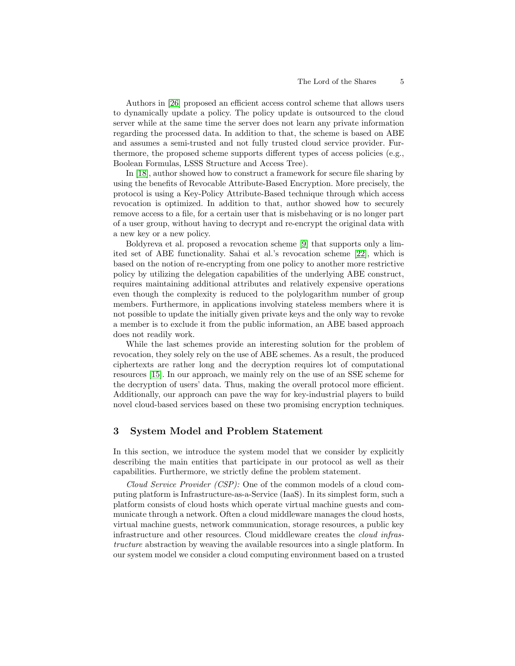Authors in [\[26\]](#page-24-1) proposed an efficient access control scheme that allows users to dynamically update a policy. The policy update is outsourced to the cloud server while at the same time the server does not learn any private information regarding the processed data. In addition to that, the scheme is based on ABE and assumes a semi-trusted and not fully trusted cloud service provider. Furthermore, the proposed scheme supports different types of access policies (e.g., Boolean Formulas, LSSS Structure and Access Tree).

In [\[18\]](#page-23-6), author showed how to construct a framework for secure file sharing by using the benefits of Revocable Attribute-Based Encryption. More precisely, the protocol is using a Key-Policy Attribute-Based technique through which access revocation is optimized. In addition to that, author showed how to securely remove access to a file, for a certain user that is misbehaving or is no longer part of a user group, without having to decrypt and re-encrypt the original data with a new key or a new policy.

Boldyreva et al. proposed a revocation scheme [\[9\]](#page-23-7) that supports only a limited set of ABE functionality. Sahai et al.'s revocation scheme [\[22\]](#page-23-8), which is based on the notion of re-encrypting from one policy to another more restrictive policy by utilizing the delegation capabilities of the underlying ABE construct, requires maintaining additional attributes and relatively expensive operations even though the complexity is reduced to the polylogarithm number of group members. Furthermore, in applications involving stateless members where it is not possible to update the initially given private keys and the only way to revoke a member is to exclude it from the public information, an ABE based approach does not readily work.

While the last schemes provide an interesting solution for the problem of revocation, they solely rely on the use of ABE schemes. As a result, the produced ciphertexts are rather long and the decryption requires lot of computational resources [\[15\]](#page-23-2). In our approach, we mainly rely on the use of an SSE scheme for the decryption of users' data. Thus, making the overall protocol more efficient. Additionally, our approach can pave the way for key-industrial players to build novel cloud-based services based on these two promising encryption techniques.

# <span id="page-4-0"></span>3 System Model and Problem Statement

In this section, we introduce the system model that we consider by explicitly describing the main entities that participate in our protocol as well as their capabilities. Furthermore, we strictly define the problem statement.

Cloud Service Provider (CSP): One of the common models of a cloud computing platform is Infrastructure-as-a-Service (IaaS). In its simplest form, such a platform consists of cloud hosts which operate virtual machine guests and communicate through a network. Often a cloud middleware manages the cloud hosts, virtual machine guests, network communication, storage resources, a public key infrastructure and other resources. Cloud middleware creates the cloud infrastructure abstraction by weaving the available resources into a single platform. In our system model we consider a cloud computing environment based on a trusted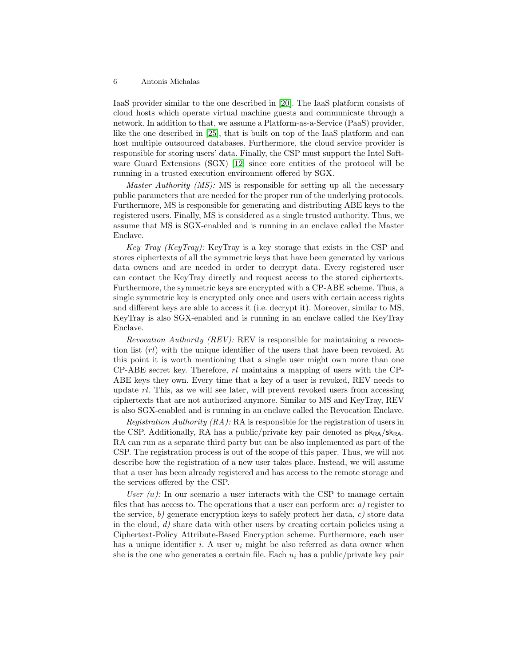IaaS provider similar to the one described in [\[20\]](#page-23-3). The IaaS platform consists of cloud hosts which operate virtual machine guests and communicate through a network. In addition to that, we assume a Platform-as-a-Service (PaaS) provider, like the one described in [\[25\]](#page-24-2), that is built on top of the IaaS platform and can host multiple outsourced databases. Furthermore, the cloud service provider is responsible for storing users' data. Finally, the CSP must support the Intel Software Guard Extensions (SGX) [\[12\]](#page-23-9) since core entities of the protocol will be running in a trusted execution environment offered by SGX.

Master Authority (MS): MS is responsible for setting up all the necessary public parameters that are needed for the proper run of the underlying protocols. Furthermore, MS is responsible for generating and distributing ABE keys to the registered users. Finally, MS is considered as a single trusted authority. Thus, we assume that MS is SGX-enabled and is running in an enclave called the Master Enclave.

Key Tray (KeyTray): KeyTray is a key storage that exists in the CSP and stores ciphertexts of all the symmetric keys that have been generated by various data owners and are needed in order to decrypt data. Every registered user can contact the KeyTray directly and request access to the stored ciphertexts. Furthermore, the symmetric keys are encrypted with a CP-ABE scheme. Thus, a single symmetric key is encrypted only once and users with certain access rights and different keys are able to access it (i.e. decrypt it). Moreover, similar to MS, KeyTray is also SGX-enabled and is running in an enclave called the KeyTray Enclave.

Revocation Authority (REV): REV is responsible for maintaining a revocation list (rl) with the unique identifier of the users that have been revoked. At this point it is worth mentioning that a single user might own more than one  $CP-ABE$  secret key. Therefore,  $rl$  maintains a mapping of users with the  $CP-$ ABE keys they own. Every time that a key of a user is revoked, REV needs to update  $rl$ . This, as we will see later, will prevent revoked users from accessing ciphertexts that are not authorized anymore. Similar to MS and KeyTray, REV is also SGX-enabled and is running in an enclave called the Revocation Enclave.

Registration Authority  $(RA)$ : RA is responsible for the registration of users in the CSP. Additionally, RA has a public/private key pair denoted as  $pk_{RA}/sk_{RA}$ . RA can run as a separate third party but can be also implemented as part of the CSP. The registration process is out of the scope of this paper. Thus, we will not describe how the registration of a new user takes place. Instead, we will assume that a user has been already registered and has access to the remote storage and the services offered by the CSP.

User  $(u)$ : In our scenario a user interacts with the CSP to manage certain files that has access to. The operations that a user can perform are:  $a$ ) register to the service, b) generate encryption keys to safely protect her data, c) store data in the cloud,  $d$ ) share data with other users by creating certain policies using a Ciphertext-Policy Attribute-Based Encryption scheme. Furthermore, each user has a unique identifier i. A user  $u_i$  might be also referred as data owner when she is the one who generates a certain file. Each  $u_i$  has a public/private key pair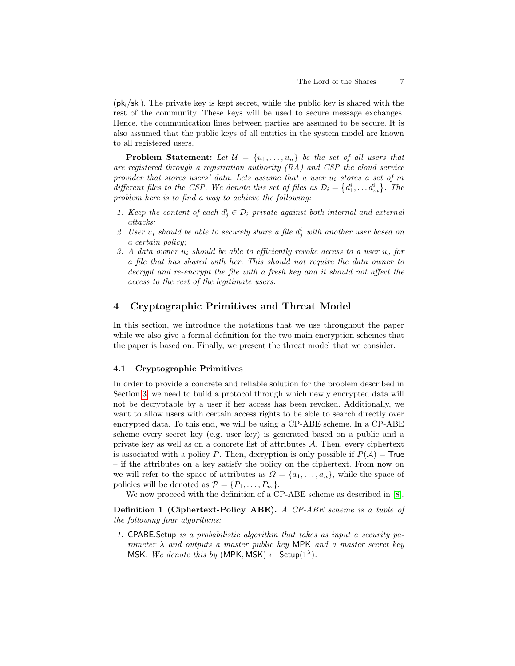$(pk_i/s_k)$ . The private key is kept secret, while the public key is shared with the rest of the community. These keys will be used to secure message exchanges. Hence, the communication lines between parties are assumed to be secure. It is also assumed that the public keys of all entities in the system model are known to all registered users.

**Problem Statement:** Let  $\mathcal{U} = \{u_1, \ldots, u_n\}$  be the set of all users that are registered through a registration authority (RA) and CSP the cloud service provider that stores users' data. Lets assume that a user  $u_i$  stores a set of m different files to the CSP. We denote this set of files as  $\mathcal{D}_i = \{d_1^i, \ldots, d_m^i\}$ . The problem here is to find a way to achieve the following:

- 1. Keep the content of each  $d_j^i \in \mathcal{D}_i$  private against both internal and external attacks;
- 2. User  $u_i$  should be able to securely share a file  $d_j^i$  with another user based on a certain policy;
- 3. A data owner  $u_i$  should be able to efficiently revoke access to a user  $u_c$  for a file that has shared with her. This should not require the data owner to decrypt and re-encrypt the file with a fresh key and it should not affect the access to the rest of the legitimate users.

# <span id="page-6-0"></span>4 Cryptographic Primitives and Threat Model

In this section, we introduce the notations that we use throughout the paper while we also give a formal definition for the two main encryption schemes that the paper is based on. Finally, we present the threat model that we consider.

# 4.1 Cryptographic Primitives

In order to provide a concrete and reliable solution for the problem described in Section [3,](#page-4-0) we need to build a protocol through which newly encrypted data will not be decryptable by a user if her access has been revoked. Additionally, we want to allow users with certain access rights to be able to search directly over encrypted data. To this end, we will be using a CP-ABE scheme. In a CP-ABE scheme every secret key (e.g. user key) is generated based on a public and a private key as well as on a concrete list of attributes A. Then, every ciphertext is associated with a policy P. Then, decryption is only possible if  $P(\mathcal{A}) =$  True – if the attributes on a key satisfy the policy on the ciphertext. From now on we will refer to the space of attributes as  $\Omega = \{a_1, \ldots, a_n\}$ , while the space of policies will be denoted as  $\mathcal{P} = \{P_1, \ldots, P_m\}.$ 

We now proceed with the definition of a CP-ABE scheme as described in [\[8\]](#page-22-0).

Definition 1 (Ciphertext-Policy ABE). A CP-ABE scheme is a tuple of the following four algorithms:

1. CPABE.Setup is a probabilistic algorithm that takes as input a security parameter  $\lambda$  and outputs a master public key MPK and a master secret key MSK. We denote this by (MPK, MSK)  $\leftarrow$  Setup( $1^{\lambda}$ ).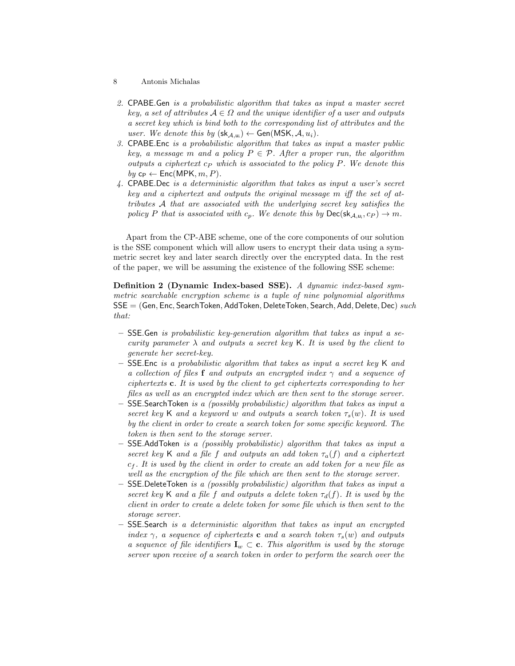- 8 Antonis Michalas
- 2. CPABE.Gen is a probabilistic algorithm that takes as input a master secret key, a set of attributes  $A \in \Omega$  and the unique identifier of a user and outputs a secret key which is bind both to the corresponding list of attributes and the user. We denote this by  $(\mathsf{sk}_{\mathcal{A},u_i}) \leftarrow \mathsf{Gen}(\mathsf{MSK}, \mathcal{A}, u_i)$ .
- 3. CPABE.Enc is a probabilistic algorithm that takes as input a master public key, a message m and a policy  $P \in \mathcal{P}$ . After a proper run, the algorithm outputs a ciphertext  $c_P$  which is associated to the policy P. We denote this  $by c_{\mathsf{P}} \leftarrow \mathsf{Enc}(\mathsf{MPK}, m, P).$
- 4. CPABE.Dec is a deterministic algorithm that takes as input a user's secret key and a ciphertext and outputs the original message m iff the set of attributes A that are associated with the underlying secret key satisfies the policy P that is associated with  $c_p$ . We denote this by  $\mathsf{Dec}(\mathsf{sk}_{\mathcal{A},u_i},c_P) \to m$ .

Apart from the CP-ABE scheme, one of the core components of our solution is the SSE component which will allow users to encrypt their data using a symmetric secret key and later search directly over the encrypted data. In the rest of the paper, we will be assuming the existence of the following SSE scheme:

Definition 2 (Dynamic Index-based SSE). A dynamic index-based symmetric searchable encryption scheme is a tuple of nine polynomial algorithms  $SSE = (Gen, Enc, SearchToken, AddToken, DeleteToken, Search, Add, Delete, Dec) such$ that:

- $-$  SSE. Gen is probabilistic key-generation algorithm that takes as input a security parameter  $\lambda$  and outputs a secret key K. It is used by the client to generate her secret-key.
- **SSE.**Enc is a probabilistic algorithm that takes as input a secret key K and a collection of files f and outputs an encrypted index  $\gamma$  and a sequence of ciphertexts c. It is used by the client to get ciphertexts corresponding to her files as well as an encrypted index which are then sent to the storage server.
- $-$  SSE.SearchToken is a (possibly probabilistic) algorithm that takes as input a secret key K and a keyword w and outputs a search token  $\tau_s(w)$ . It is used by the client in order to create a search token for some specific keyword. The token is then sent to the storage server.
- $-$  SSE. Add Token is a (possibly probabilistic) algorithm that takes as input a secret key K and a file f and outputs an add token  $\tau_a(f)$  and a ciphertext  $c_f$ . It is used by the client in order to create an add token for a new file as well as the encryption of the file which are then sent to the storage server.
- $-$  SSE.DeleteToken is a (possibly probabilistic) algorithm that takes as input a secret key K and a file f and outputs a delete token  $\tau_d(f)$ . It is used by the client in order to create a delete token for some file which is then sent to the storage server.
- $-$  SSE. Search is a deterministic algorithm that takes as input an encrypted index  $\gamma$ , a sequence of ciphertexts **c** and a search token  $\tau_s(w)$  and outputs a sequence of file identifiers  $\mathbf{I}_w \subset \mathbf{c}$ . This algorithm is used by the storage server upon receive of a search token in order to perform the search over the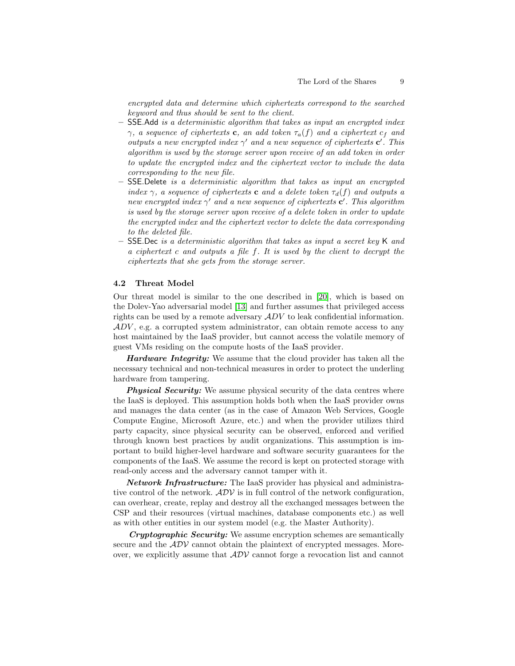encrypted data and determine which ciphertexts correspond to the searched keyword and thus should be sent to the client.

- SSE.Add is a deterministic algorithm that takes as input an encrypted index  $\gamma$ , a sequence of ciphertexts c, an add token  $\tau_a(f)$  and a ciphertext  $c_f$  and outputs a new encrypted index  $\gamma'$  and a new sequence of ciphertexts  $c'$ . This algorithm is used by the storage server upon receive of an add token in order to update the encrypted index and the ciphertext vector to include the data corresponding to the new file.
- $-$  SSE. Delete is a deterministic algorithm that takes as input an encrypted index  $\gamma$ , a sequence of ciphertexts **c** and a delete token  $\tau_d(f)$  and outputs a new encrypted index  $\gamma'$  and a new sequence of ciphertexts  ${\bf c}'$ . This algorithm is used by the storage server upon receive of a delete token in order to update the encrypted index and the ciphertext vector to delete the data corresponding to the deleted file.
- **SSE.**Dec is a deterministic algorithm that takes as input a secret key K and a ciphertext c and outputs a file f. It is used by the client to decrypt the ciphertexts that she gets from the storage server.

## 4.2 Threat Model

Our threat model is similar to the one described in [\[20\]](#page-23-3), which is based on the Dolev-Yao adversarial model [\[13\]](#page-23-10) and further assumes that privileged access rights can be used by a remote adversary  $ADV$  to leak confidential information.  $ADV$ , e.g. a corrupted system administrator, can obtain remote access to any host maintained by the IaaS provider, but cannot access the volatile memory of guest VMs residing on the compute hosts of the IaaS provider.

**Hardware Integrity:** We assume that the cloud provider has taken all the necessary technical and non-technical measures in order to protect the underling hardware from tampering.

**Physical Security:** We assume physical security of the data centres where the IaaS is deployed. This assumption holds both when the IaaS provider owns and manages the data center (as in the case of Amazon Web Services, Google Compute Engine, Microsoft Azure, etc.) and when the provider utilizes third party capacity, since physical security can be observed, enforced and verified through known best practices by audit organizations. This assumption is important to build higher-level hardware and software security guarantees for the components of the IaaS. We assume the record is kept on protected storage with read-only access and the adversary cannot tamper with it.

Network Infrastructure: The IaaS provider has physical and administrative control of the network.  $ADV$  is in full control of the network configuration, can overhear, create, replay and destroy all the exchanged messages between the CSP and their resources (virtual machines, database components etc.) as well as with other entities in our system model (e.g. the Master Authority).

Cryptographic Security: We assume encryption schemes are semantically secure and the  $ADV$  cannot obtain the plaintext of encrypted messages. Moreover, we explicitly assume that  $\mathcal{ADV}$  cannot forge a revocation list and cannot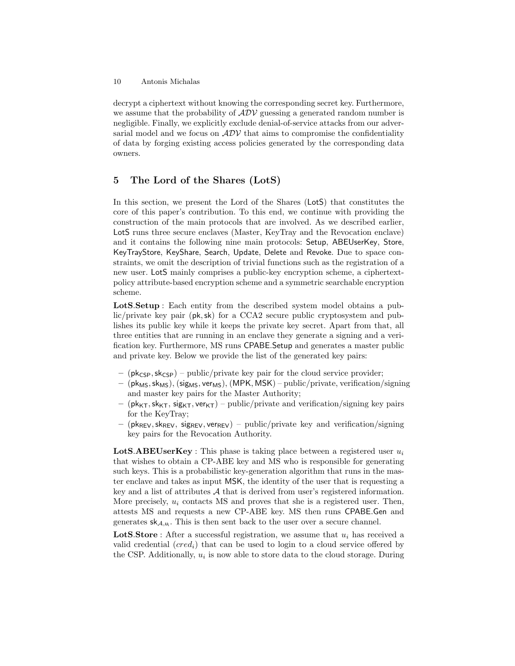decrypt a ciphertext without knowing the corresponding secret key. Furthermore, we assume that the probability of  $\mathcal{ADV}$  guessing a generated random number is negligible. Finally, we explicitly exclude denial-of-service attacks from our adversarial model and we focus on  $\mathcal{ADV}$  that aims to compromise the confidentiality of data by forging existing access policies generated by the corresponding data owners.

# <span id="page-9-0"></span>5 The Lord of the Shares (LotS)

In this section, we present the Lord of the Shares (LotS) that constitutes the core of this paper's contribution. To this end, we continue with providing the construction of the main protocols that are involved. As we described earlier, LotS runs three secure enclaves (Master, KeyTray and the Revocation enclave) and it contains the following nine main protocols: Setup, ABEUserKey, Store, KeyTrayStore, KeyShare, Search, Update, Delete and Revoke. Due to space constraints, we omit the description of trivial functions such as the registration of a new user. LotS mainly comprises a public-key encryption scheme, a ciphertextpolicy attribute-based encryption scheme and a symmetric searchable encryption scheme.

LotS.Setup : Each entity from the described system model obtains a public/private key pair (pk,sk) for a CCA2 secure public cryptosystem and publishes its public key while it keeps the private key secret. Apart from that, all three entities that are running in an enclave they generate a signing and a verification key. Furthermore, MS runs CPABE.Setup and generates a master public and private key. Below we provide the list of the generated key pairs:

- ( $pk_{CSP}$ ,  $sk_{CSP}$ ) public/private key pair for the cloud service provider;
- $-$  (pk<sub>MS</sub>, sk<sub>MS</sub>), (sig<sub>MS</sub>, ver<sub>MS</sub>), (MPK, MSK) public/private, verification/signing and master key pairs for the Master Authority;
- ( $pk_{KT}$ ,  $sk_{KT}$ ,  $sig_{KT}$ ,  $ver_{KT}$ ) public/private and verification/signing key pairs for the KeyTray;
- ( $pk_{REV}$ ,  $sk_{REV}$ ,  $sig_{REV}$ ,  $ver_{REV}$ ) public/private key and verification/signing key pairs for the Revocation Authority.

**LotS.ABEUserKey**: This phase is taking place between a registered user  $u_i$ that wishes to obtain a CP-ABE key and MS who is responsible for generating such keys. This is a probabilistic key-generation algorithm that runs in the master enclave and takes as input MSK, the identity of the user that is requesting a key and a list of attributes  $A$  that is derived from user's registered information. More precisely,  $u_i$  contacts MS and proves that she is a registered user. Then, attests MS and requests a new CP-ABE key. MS then runs CPABE.Gen and generates  $sk_{A,u_i}$ . This is then sent back to the user over a secure channel.

**LotS.Store**: After a successful registration, we assume that  $u_i$  has received a valid credential  $(cred<sub>i</sub>)$  that can be used to login to a cloud service offered by the CSP. Additionally,  $u_i$  is now able to store data to the cloud storage. During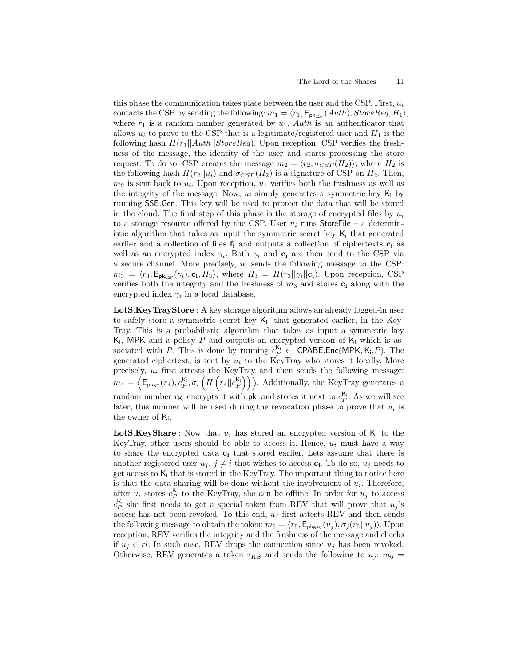this phase the communication takes place between the user and the CSP. First,  $u_i$ contacts the CSP by sending the following:  $m_1 = \langle r_1, \mathsf{E}_{\mathsf{pk}_{\mathsf{CSP}}}(Auth), StoreReq, H_1 \rangle$ , where  $r_1$  is a random number generated by  $u_1$ ,  $Auth$  is an authenticator that allows  $u_i$  to prove to the CSP that is a legitimate/registered user and  $H_1$  is the following hash  $H(r_1||\text{Aut}h||\text{Store}$ Req). Upon reception, CSP verifies the freshness of the message, the identity of the user and starts processing the store request. To do so, CSP creates the message  $m_2 = \langle r_2, \sigma_{CSP}(H_2) \rangle$ , where  $H_2$  is the following hash  $H(r_2||u_i)$  and  $\sigma_{CSP}(H_2)$  is a signature of CSP on  $H_2$ . Then,  $m_2$  is sent back to  $u_i$ . Upon reception,  $u_1$  verifies both the freshness as well as the integrity of the message. Now,  $u_i$  simply generates a symmetric key  $K_i$  by running SSE.Gen. This key will be used to protect the data that will be stored in the cloud. The final step of this phase is the storage of encrypted files by  $u_i$ to a storage resource offered by the CSP. User  $u_i$  runs StoreFile – a deterministic algorithm that takes as input the symmetric secret key  $K_i$  that generated earlier and a collection of files  $f_i$  and outputs a collection of ciphertexts  $c_i$  as well as an encrypted index  $\gamma_i$ . Both  $\gamma_i$  and  $c_i$  are then send to the CSP via a secure channel. More precisely,  $u_i$  sends the following message to the CSP:  $m_3 = \langle r_3, \mathsf{E}_{\mathsf{pk}_{\mathsf{CSP}}}(\gamma_i), \mathbf{c_i}, H_3 \rangle$ , where  $H_3 = H(r_3||\gamma_i||\mathbf{c_i})$ . Upon reception, CSP verifies both the integrity and the freshness of  $m_3$  and stores  $c_i$  along with the encrypted index  $\gamma_i$  in a local database.

LotS.KeyTrayStore : A key storage algorithm allows an already logged-in user to safely store a symmetric secret key  $\mathsf{K}_i$ , that generated earlier, in the Key-Tray. This is a probabilistic algorithm that takes as input a symmetric key  $K_i$ , MPK and a policy P and outputs an encrypted version of  $K_i$  which is associated with P. This is done by running  $c_P^{K_i} \leftarrow \text{CPABE}.\text{Enc}(\text{MPK}, K_i, P)$ . The generated ciphertext, is sent by  $u_i$  to the KeyTray who stores it locally. More precisely,  $u_i$  first attests the KeyTray and then sends the following message:  $m_4 = \left\langle \mathsf{E}_{\mathsf{pk}_{\mathsf{KT}}}(r_4), c_P^{\mathsf{K}_i}, \sigma_i\left(H\left(r_4||c_P^{\mathsf{K}_i}\right)\right)\right\rangle$ . Additionally, the KeyTray generates a random number  $r_{\mathsf{K}_i}$  encrypts it with  $\mathsf{pk}_i$  and stores it next to  $c_{P}^{\mathsf{K}_i}$ . As we will see later, this number will be used during the revocation phase to prove that  $u_i$  is the owner of  $K_i$ .

**LotS.KeyShare**: Now that  $u_i$  has stored an encrypted version of  $K_i$  to the KeyTray, other users should be able to access it. Hence,  $u_i$  must have a way to share the encrypted data  $c_i$  that stored earlier. Lets assume that there is another registered user  $u_j, j \neq i$  that wishes to access  $c_i$ . To do so,  $u_j$  needs to get access to  $K_i$  that is stored in the KeyTray. The important thing to notice here is that the data sharing will be done without the involvement of  $u_i$ . Therefore, after  $u_i$  stores  $c_P^{K_i}$  to the KeyTray, she can be offline. In order for  $u_j$  to access  $c_P^{K_i}$  she first needs to get a special token from REV that will prove that  $u_j$ 's access has not been revoked. To this end,  $u_j$  first attests REV and then sends the following message to obtain the token:  $m_5 = \langle r_5, \mathsf{E}_{\mathsf{pk}_{\mathsf{RFV}}}(u_j), \sigma_j(r_5||u_j) \rangle$ . Upon reception, REV verifies the integrity and the freshness of the message and checks if  $u_j \in rl$ . In such case, REV drops the connection since  $u_j$  has been revoked. Otherwise, REV generates a token  $\tau_{KS}$  and sends the following to  $u_j$ :  $m_6$  =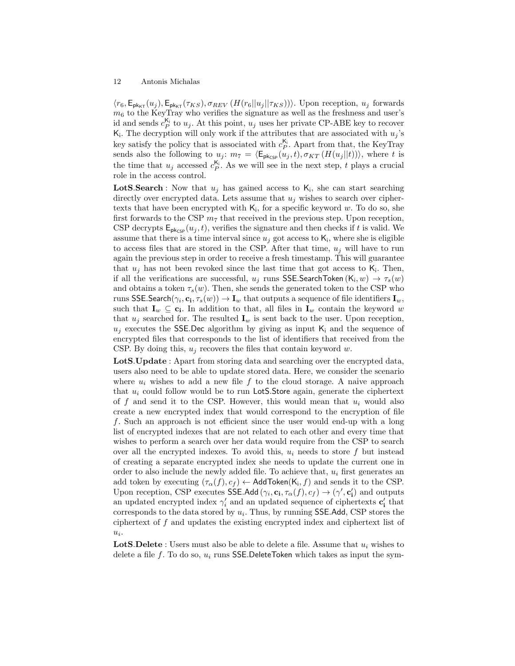$\langle r_6, \mathsf{E}_{\mathsf{pk}_{\mathsf{KT}}}(u_j), \mathsf{E}_{\mathsf{pk}_{\mathsf{KT}}}(\tau_{KS}), \sigma_{REV}\left(H(r_6||u_j||\tau_{KS})\right)\rangle$ . Upon reception,  $u_j$  forwards  $m<sub>6</sub>$  to the KeyTray who verifies the signature as well as the freshness and user's id and sends  $c_P^{\mathsf{K}_i}$  to  $u_j$ . At this point,  $u_j$  uses her private CP-ABE key to recover  $\mathsf{K}_i$ . The decryption will only work if the attributes that are associated with  $u_j$ 's key satisfy the policy that is associated with  $c_P^{\mathsf{K}_i}$ . Apart from that, the KeyTray sends also the following to  $u_j$ :  $m_7 = \langle \mathsf{E}_{\mathsf{pk}_{\mathsf{CSP}}}(u_j, t), \sigma_{KT}(H(u_j || t)) \rangle$ , where t is the time that  $u_j$  accessed  $c_P^{\mathsf{K}_i}$ . As we will see in the next step, t plays a crucial role in the access control.

**LotS.Search**: Now that  $u_j$  has gained access to  $K_i$ , she can start searching directly over encrypted data. Lets assume that  $u_j$  wishes to search over ciphertexts that have been encrypted with  $K_i$ , for a specific keyword  $w$ . To do so, she first forwards to the CSP  $m_7$  that received in the previous step. Upon reception, CSP decrypts  $\mathsf{E}_{\mathsf{pk}_{\mathsf{CSP}}}(u_j,t)$ , verifies the signature and then checks if t is valid. We assume that there is a time interval since  $u_j$  got access to  $\mathsf{K}_i$ , where she is eligible to access files that are stored in the CSP. After that time,  $u_j$  will have to run again the previous step in order to receive a fresh timestamp. This will guarantee that  $u_j$  has not been revoked since the last time that got access to  $K_i$ . Then, if all the verifications are successful,  $u_j$  runs SSE.SearchToken (K<sub>i</sub>,  $w$ )  $\rightarrow \tau_s(w)$ and obtains a token  $\tau_s(w)$ . Then, she sends the generated token to the CSP who runs <code>SSE.Search</code>( $\gamma_i$ ,  ${\bf c_i},\tau_s(w))\to {\bf I}_w$  that outputs a sequence of file identifiers  ${\bf I}_w,$ such that  $I_w \subseteq c_i$ . In addition to that, all files in  $I_w$  contain the keyword w that  $u_j$  searched for. The resulted  $\mathbf{I}_w$  is sent back to the user. Upon reception,  $u_i$  executes the SSE.Dec algorithm by giving as input  $K_i$  and the sequence of encrypted files that corresponds to the list of identifiers that received from the CSP. By doing this,  $u_i$  recovers the files that contain keyword w.

LotS.Update : Apart from storing data and searching over the encrypted data, users also need to be able to update stored data. Here, we consider the scenario where  $u_i$  wishes to add a new file f to the cloud storage. A naive approach that  $u_i$  could follow would be to run LotS. Store again, generate the ciphertext of f and send it to the CSP. However, this would mean that  $u_i$  would also create a new encrypted index that would correspond to the encryption of file f. Such an approach is not efficient since the user would end-up with a long list of encrypted indexes that are not related to each other and every time that wishes to perform a search over her data would require from the CSP to search over all the encrypted indexes. To avoid this,  $u_i$  needs to store f but instead of creating a separate encrypted index she needs to update the current one in order to also include the newly added file. To achieve that,  $u_i$  first generates an add token by executing  $(\tau_{\alpha}(f), c_f) \leftarrow$  AddToken $(K_i, f)$  and sends it to the CSP. Upon reception, CSP executes SSE.Add  $(\gamma_i, \mathbf{c}_i, \tau_\alpha(f), c_f) \to (\gamma', \mathbf{c}'_i)$  and outputs an updated encrypted index  $\gamma'_i$  and an updated sequence of ciphertexts  $\mathbf{c}'_i$  that corresponds to the data stored by  $u_i$ . Thus, by running SSE.Add, CSP stores the ciphertext of f and updates the existing encrypted index and ciphertext list of  $u_i$ .

**LotS.Delete**: Users must also be able to delete a file. Assume that  $u_i$  wishes to delete a file f. To do so,  $u_i$  runs SSE.DeleteToken which takes as input the sym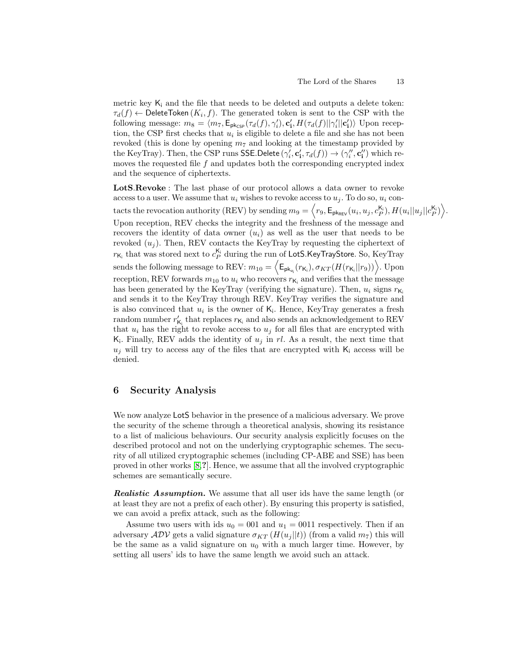metric key  $K_i$  and the file that needs to be deleted and outputs a delete token:  $\tau_d(f) \leftarrow$  DeleteToken  $(K_i, f)$ . The generated token is sent to the CSP with the following message:  $m_8 = \langle m_7, \mathsf{E}_{\mathsf{pk}_{\mathsf{CSP}}}(\tau_d(f), \gamma'_i), \mathbf{c}'_i, H(\tau_d(f)||\gamma'_i||\mathbf{c}'_i) \rangle$  Upon reception, the CSP first checks that  $u_i$  is eligible to delete a file and she has not been revoked (this is done by opening  $m<sub>7</sub>$  and looking at the timestamp provided by the KeyTray). Then, the CSP runs SSE.Delete  $(\gamma'_i, \mathbf{c}'_i, \tau_d(f)) \to (\gamma''_i, \mathbf{c}''_i)$  which removes the requested file  $f$  and updates both the corresponding encrypted index and the sequence of ciphertexts.

LotS.Revoke : The last phase of our protocol allows a data owner to revoke access to a user. We assume that  $u_i$  wishes to revoke access to  $u_j$ . To do so,  $u_i$  contacts the revocation authority (REV) by sending  $m_9 = \left\langle r_9, \mathsf{E}_{\mathsf{p}} \mathsf{k}_{\mathsf{REV}}(u_i, u_j, c_P^{\mathsf{K}_\mathsf{i}}), H(u_i || u_j || c_P^{\mathsf{K}_\mathsf{i}}) \right\rangle$ . Upon reception, REV checks the integrity and the freshness of the message and recovers the identity of data owner  $(u_i)$  as well as the user that needs to be revoked  $(u_i)$ . Then, REV contacts the KeyTray by requesting the ciphertext of  $r_{\mathsf{K}_i}$  that was stored next to  $c_P^{\mathsf{K}_i}$  during the run of <code>LotS.KeyTrayStore.</code> So, KeyTray sends the following message to REV:  $m_{10} = \left\langle \mathsf{E}_{\mathsf{pk}_{\mathsf{u}_i}}(r_{\mathsf{K}_i}), \sigma_{KT}(H(r_{\mathsf{K}_i}||r_9)) \right\rangle$ . Upon reception, REV forwards  $m_{10}$  to  $u_i$  who recovers  $r_{\mathsf{K}_i}$  and verifies that the message has been generated by the KeyTray (verifying the signature). Then,  $u_i$  signs  $r_{\mathsf{K}_i}$ and sends it to the KeyTray through REV. KeyTray verifies the signature and is also convinced that  $u_i$  is the owner of  $\mathsf{K}_i$ . Hence, KeyTray generates a fresh random number $r'_{\mathsf{K}_i}$  that replaces  $r_{\mathsf{K}_i}$  and also sends an acknowledgement to REV that  $u_i$  has the right to revoke access to  $u_j$  for all files that are encrypted with  $\mathsf{K}_i$ . Finally, REV adds the identity of  $u_j$  in rl. As a result, the next time that  $u_j$  will try to access any of the files that are encrypted with  $K_i$  access will be denied.

## <span id="page-12-0"></span>6 Security Analysis

We now analyze LotS behavior in the presence of a malicious adversary. We prove the security of the scheme through a theoretical analysis, showing its resistance to a list of malicious behaviours. Our security analysis explicitly focuses on the described protocol and not on the underlying cryptographic schemes. The security of all utilized cryptographic schemes (including CP-ABE and SSE) has been proved in other works [\[8,](#page-22-0)?]. Hence, we assume that all the involved cryptographic schemes are semantically secure.

Realistic Assumption. We assume that all user ids have the same length (or at least they are not a prefix of each other). By ensuring this property is satisfied, we can avoid a prefix attack, such as the following:

Assume two users with ids  $u_0 = 001$  and  $u_1 = 0011$  respectively. Then if an adversary  $\mathcal{ADV}$  gets a valid signature  $\sigma_{KT}(H(u_i || t))$  (from a valid  $m_7$ ) this will be the same as a valid signature on  $u_0$  with a much larger time. However, by setting all users' ids to have the same length we avoid such an attack.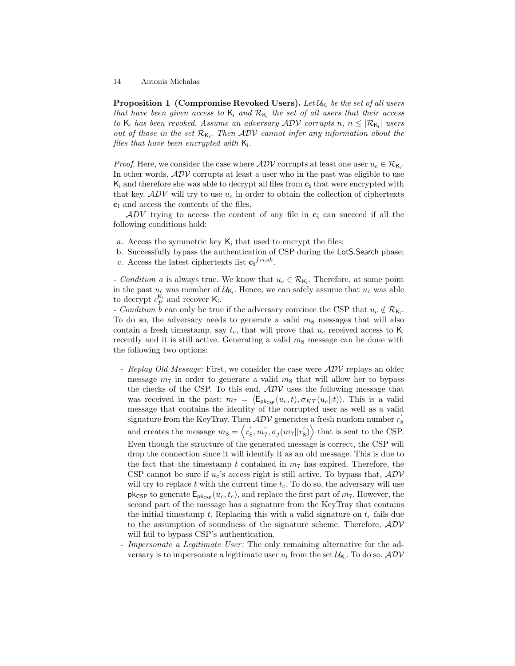Proposition 1 (Compromise Revoked Users). Let  $\mathcal{U}_{\mathsf{K}_i}$  be the set of all users that have been given access to  $K_i$  and  $\mathcal{R}_{K_i}$  the set of all users that their access to  $\mathsf{K}_i$  has been revoked. Assume an adversary  $\mathcal{ADV}$  corrupts n,  $n \leq |\mathcal{R}_{\mathsf{K}_i}|$  users out of those in the set  $\mathcal{R}_{K_i}$ . Then  $\mathcal{ADV}$  cannot infer any information about the files that have been encrypted with  $K_i$ .

*Proof.* Here, we consider the case where  $\mathcal{ADV}$  corrupts at least one user  $u_c \in \mathcal{R}_{\mathsf{K}_i}$ . In other words,  $ADV$  corrupts at least a user who in the past was eligible to use  $K_i$  and therefore she was able to decrypt all files from  $c_i$  that were encrypted with that key.  $ADV$  will try to use  $u_c$  in order to obtain the collection of ciphertexts c<sup>i</sup> and access the contents of the files.

ADV trying to access the content of any file in  $c_i$  can succeed if all the following conditions hold:

- a. Access the symmetric key  $K_i$  that used to encrypt the files;
- b. Successfully bypass the authentication of CSP during the LotS.Search phase; c. Access the latest ciphertexts list  $c_i^{fresh}$ .
- *Condition a* is always true. We know that  $u_c \in \mathcal{R}_{\mathsf{K}_i}$ . Therefore, at some point in the past  $u_c$  was member of  $\mathcal{U}_{\mathsf{K}_i}$ . Hence, we can safely assume that  $u_c$  was able to decrypt  $c_P^{\mathsf{K}_i}$  and recover  $\mathsf{K}_i$ .

- Condition b can only be true if the adversary convince the CSP that  $u_c \notin \mathcal{R}_{\mathsf{K}_i}$ . To do so, the adversary needs to generate a valid  $m_8$  messages that will also contain a fresh timestamp, say  $t_c$ , that will prove that  $u_c$  received access to  $\mathsf{K}_i$ recently and it is still active. Generating a valid  $m_8$  message can be done with the following two options:

- Replay Old Message: First, we consider the case were  $\mathcal{ADV}$  replays an older message  $m_7$  in order to generate a valid  $m_8$  that will allow her to bypass the checks of the CSP. To this end,  $ADV$  uses the following message that was received in the past:  $m_7 = \langle \mathsf{E}_{\mathsf{pk}_{\mathsf{CSP}}}(u_c, t), \sigma_{KT}(u_c||t)\rangle$ . This is a valid message that contains the identity of the corrupted user as well as a valid signature from the KeyTray. Then  $\mathcal{ADV}$  generates a fresh random number  $r_8^{'}$ and creates the message  $m_8 = \langle r'_8, m'_7, \sigma_j(m_7||r'_8) \rangle$  that is sent to the CSP. Even though the structure of the generated message is correct, the CSP will drop the connection since it will identify it as an old message. This is due to the fact that the timestamp t contained in  $m<sub>7</sub>$  has expired. Therefore, the CSP cannot be sure if  $u_c$ 's access right is still active. To bypass that,  $ADV$ will try to replace t with the current time  $t_c$ . To do so, the adversary will use pk<sub>CSP</sub> to generate  $\mathsf{E}_{\mathsf{pk}_{\mathsf{CSP}}}(u_c, t_c)$ , and replace the first part of  $m_7$ . However, the second part of the message has a signature from the KeyTray that contains the initial timestamp t. Replacing this with a valid signature on  $t_c$  fails due to the assumption of soundness of the signature scheme. Therefore,  $ADV$ will fail to bypass CSP's authentication.
- Impersonate a Legitimate User: The only remaining alternative for the adversary is to impersonate a legitimate user  $u_l$  from the set  $\mathcal{U}_{\mathsf{K}_i}$ . To do so,  $\mathcal{ADV}$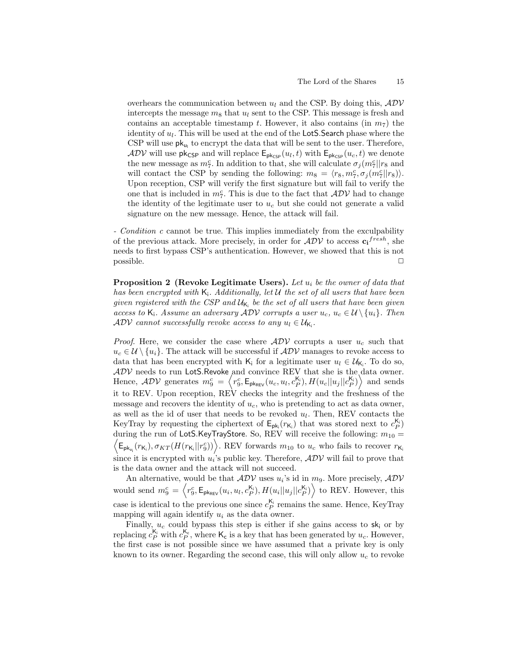overhears the communication between  $u_l$  and the CSP. By doing this,  $ADV$ intercepts the message  $m_8$  that  $u_l$  sent to the CSP. This message is fresh and contains an acceptable timestamp t. However, it also contains (in  $m<sub>7</sub>$ ) the identity of  $u_l$ . This will be used at the end of the LotS. Search phase where the CSP will use  $pk_{u_l}$  to encrypt the data that will be sent to the user. Therefore,  $\mathcal{ADV}$  will use pk<sub>CSP</sub> and will replace  $\mathsf{E}_{\mathsf{pk}_{\mathsf{CSP}}}(u_l, t)$  with  $\mathsf{E}_{\mathsf{pk}_{\mathsf{CSP}}}(u_c, t)$  we denote the new message as  $m_7^c$ . In addition to that, she will calculate  $\sigma_j(m_7^c||r_8)$  and will contact the CSP by sending the following:  $m_8 = \langle r_8, m_7^c, \sigma_j(m_7^c||r_8) \rangle$ . Upon reception, CSP will verify the first signature but will fail to verify the one that is included in  $m_7^c$ . This is due to the fact that  $\mathcal{ADV}$  had to change the identity of the legitimate user to  $u_c$  but she could not generate a valid signature on the new message. Hence, the attack will fail.

- *Condition c* cannot be true. This implies immediately from the exculpability of the previous attack. More precisely, in order for  $\mathcal{ADV}$  to access  $c_i^{fresh}$ , she needs to first bypass CSP's authentication. However, we showed that this is not  $\Box$  possible.  $\Box$ 

**Proposition 2** (Revoke Legitimate Users). Let  $u_i$  be the owner of data that has been encrypted with  $K_i$ . Additionally, let U the set of all users that have been given registered with the CSP and  $\mathcal{U}_{\mathsf{K}_i}$  be the set of all users that have been given access to K<sub>i</sub>. Assume an adversary  $ADV$  corrupts a user  $u_c, u_c \in \mathcal{U} \setminus \{u_i\}$ . Then  $\mathcal{ADV}$  cannot successfully revoke access to any  $u_l \in \mathcal{U}_{\mathsf{K}_i}$ .

*Proof.* Here, we consider the case where  $ADV$  corrupts a user  $u_c$  such that  $u_c \in \mathcal{U} \setminus \{u_i\}$ . The attack will be successful if  $\mathcal{ADV}$  manages to revoke access to data that has been encrypted with  $\mathsf{K}_i$  for a legitimate user  $u_l \in \mathcal{U}_{\mathsf{K}_i}$ . To do so,  $\mathcal{ADV}$  needs to run LotS.Revoke and convince REV that she is the data owner. Hence,  $ADV$  generates  $m_9^c = \left\langle r_9^c, \mathsf{E}_{\mathsf{pk}_{\mathsf{REV}}}(u_c, u_l, c_P^{\mathsf{K}_i}), H(u_c||u_j||c_P^{\mathsf{K}_i}) \right\rangle$  and sends it to REV. Upon reception, REV checks the integrity and the freshness of the message and recovers the identity of  $u_c$ , who is pretending to act as data owner, as well as the id of user that needs to be revoked  $u_l$ . Then, REV contacts the KeyTray by requesting the ciphertext of  $E_{pk_i}(r_{K_i})$  that was stored next to  $c_P^{K_i}$  $\left\langle \mathsf{E}_{\mathsf{pk}_{u_i}}(r_{\mathsf{K}_i}), \sigma_{KT}(H(r_{\mathsf{K}_i}||r_{9}^c)) \right\rangle$ . REV forwards  $m_{10}$  to  $u_c$  who fails to recover  $r_{\mathsf{K}_i}$ during the run of LotS.KeyTrayStore. So, REV will receive the following:  $m_{10} =$ since it is encrypted with  $u_i$ 's public key. Therefore,  $ADV$  will fail to prove that is the data owner and the attack will not succeed.

An alternative, would be that  $\mathcal{ADV}$  uses  $u_i$ 's id in  $m_9$ . More precisely,  $\mathcal{ADV}$ would send  $m_9^c = \left\langle r_9^c, \mathsf{E}_{\mathsf{pk}_{\mathsf{REV}}}(u_i, u_l, c_P^{\mathsf{K}_i}), H(u_i || u_j || c_P^{\mathsf{K}_i}) \right\rangle$  to REV. However, this case is identical to the previous one since  $c_P^{K_i}$  remains the same. Hence, KeyTray mapping will again identify  $u_i$  as the data owner.

Finally,  $u_c$  could bypass this step is either if she gains access to  $sk_i$  or by replacing  $c_P^{K_i}$  with  $c_P^{K_c}$ , where  $K_c$  is a key that has been generated by  $u_c$ . However, the first case is not possible since we have assumed that a private key is only known to its owner. Regarding the second case, this will only allow  $u_c$  to revoke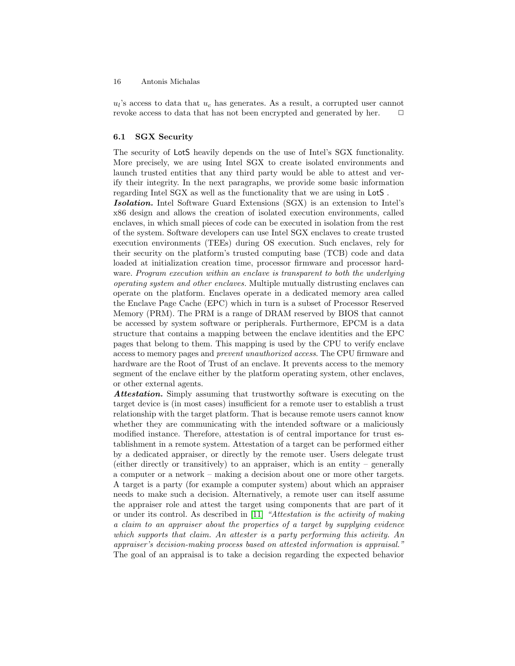$u_l$ 's access to data that  $u_c$  has generates. As a result, a corrupted user cannot revoke access to data that has not been encrypted and generated by her.  $\Box$ 

## 6.1 SGX Security

The security of LotS heavily depends on the use of Intel's SGX functionality. More precisely, we are using Intel SGX to create isolated environments and launch trusted entities that any third party would be able to attest and verify their integrity. In the next paragraphs, we provide some basic information regarding Intel SGX as well as the functionality that we are using in LotS .

Isolation. Intel Software Guard Extensions (SGX) is an extension to Intel's x86 design and allows the creation of isolated execution environments, called enclaves, in which small pieces of code can be executed in isolation from the rest of the system. Software developers can use Intel SGX enclaves to create trusted execution environments (TEEs) during OS execution. Such enclaves, rely for their security on the platform's trusted computing base (TCB) code and data loaded at initialization creation time, processor firmware and processor hardware. Program execution within an enclave is transparent to both the underlying operating system and other enclaves. Multiple mutually distrusting enclaves can operate on the platform. Enclaves operate in a dedicated memory area called the Enclave Page Cache (EPC) which in turn is a subset of Processor Reserved Memory (PRM). The PRM is a range of DRAM reserved by BIOS that cannot be accessed by system software or peripherals. Furthermore, EPCM is a data structure that contains a mapping between the enclave identities and the EPC pages that belong to them. This mapping is used by the CPU to verify enclave access to memory pages and prevent unauthorized access. The CPU firmware and hardware are the Root of Trust of an enclave. It prevents access to the memory segment of the enclave either by the platform operating system, other enclaves, or other external agents.

Attestation. Simply assuming that trustworthy software is executing on the target device is (in most cases) insufficient for a remote user to establish a trust relationship with the target platform. That is because remote users cannot know whether they are communicating with the intended software or a maliciously modified instance. Therefore, attestation is of central importance for trust establishment in a remote system. Attestation of a target can be performed either by a dedicated appraiser, or directly by the remote user. Users delegate trust (either directly or transitively) to an appraiser, which is an entity – generally a computer or a network – making a decision about one or more other targets. A target is a party (for example a computer system) about which an appraiser needs to make such a decision. Alternatively, a remote user can itself assume the appraiser role and attest the target using components that are part of it or under its control. As described in [\[11\]](#page-23-11) "Attestation is the activity of making a claim to an appraiser about the properties of a target by supplying evidence which supports that claim. An attester is a party performing this activity. An appraiser's decision-making process based on attested information is appraisal." The goal of an appraisal is to take a decision regarding the expected behavior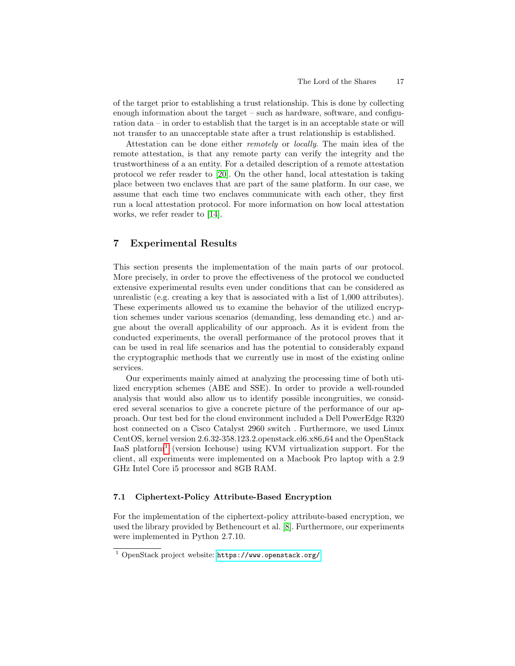of the target prior to establishing a trust relationship. This is done by collecting enough information about the target – such as hardware, software, and configuration data – in order to establish that the target is in an acceptable state or will not transfer to an unacceptable state after a trust relationship is established.

Attestation can be done either remotely or locally. The main idea of the remote attestation, is that any remote party can verify the integrity and the trustworthiness of a an entity. For a detailed description of a remote attestation protocol we refer reader to [\[20\]](#page-23-3). On the other hand, local attestation is taking place between two enclaves that are part of the same platform. In our case, we assume that each time two enclaves communicate with each other, they first run a local attestation protocol. For more information on how local attestation works, we refer reader to [\[14\]](#page-23-12).

# <span id="page-16-0"></span>7 Experimental Results

This section presents the implementation of the main parts of our protocol. More precisely, in order to prove the effectiveness of the protocol we conducted extensive experimental results even under conditions that can be considered as unrealistic (e.g. creating a key that is associated with a list of 1,000 attributes). These experiments allowed us to examine the behavior of the utilized encryption schemes under various scenarios (demanding, less demanding etc.) and argue about the overall applicability of our approach. As it is evident from the conducted experiments, the overall performance of the protocol proves that it can be used in real life scenarios and has the potential to considerably expand the cryptographic methods that we currently use in most of the existing online services.

Our experiments mainly aimed at analyzing the processing time of both utilized encryption schemes (ABE and SSE). In order to provide a well-rounded analysis that would also allow us to identify possible incongruities, we considered several scenarios to give a concrete picture of the performance of our approach. Our test bed for the cloud environment included a Dell PowerEdge R320 host connected on a Cisco Catalyst 2960 switch . Furthermore, we used Linux CentOS, kernel version 2.6.32-358.123.2.openstack.el6.x86 64 and the OpenStack IaaS platform<sup>[1](#page-16-1)</sup> (version Icehouse) using KVM virtualization support. For the client, all experiments were implemented on a Macbook Pro laptop with a 2.9 GHz Intel Core i5 processor and 8GB RAM.

#### 7.1 Ciphertext-Policy Attribute-Based Encryption

For the implementation of the ciphertext-policy attribute-based encryption, we used the library provided by Bethencourt et al. [\[8\]](#page-22-0). Furthermore, our experiments were implemented in Python 2.7.10.

<span id="page-16-1"></span><sup>1</sup> OpenStack project website: <https://www.openstack.org/>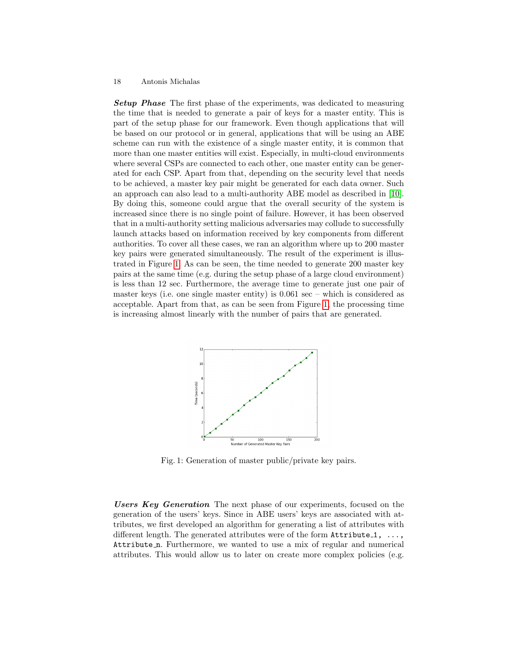**Setup Phase** The first phase of the experiments, was dedicated to measuring the time that is needed to generate a pair of keys for a master entity. This is part of the setup phase for our framework. Even though applications that will be based on our protocol or in general, applications that will be using an ABE scheme can run with the existence of a single master entity, it is common that more than one master entities will exist. Especially, in multi-cloud environments where several CSPs are connected to each other, one master entity can be generated for each CSP. Apart from that, depending on the security level that needs to be achieved, a master key pair might be generated for each data owner. Such an approach can also lead to a multi-authority ABE model as described in [\[10\]](#page-23-13). By doing this, someone could argue that the overall security of the system is increased since there is no single point of failure. However, it has been observed that in a multi-authority setting malicious adversaries may collude to successfully launch attacks based on information received by key components from different authorities. To cover all these cases, we ran an algorithm where up to 200 master key pairs were generated simultaneously. The result of the experiment is illustrated in Figure [1.](#page-17-0) As can be seen, the time needed to generate 200 master key pairs at the same time (e.g. during the setup phase of a large cloud environment) is less than 12 sec. Furthermore, the average time to generate just one pair of master keys (i.e. one single master entity) is 0.061 sec – which is considered as acceptable. Apart from that, as can be seen from Figure [1,](#page-17-0) the processing time is increasing almost linearly with the number of pairs that are generated.

<span id="page-17-0"></span>

Fig. 1: Generation of master public/private key pairs.

Users Key Generation The next phase of our experiments, focused on the generation of the users' keys. Since in ABE users' keys are associated with attributes, we first developed an algorithm for generating a list of attributes with different length. The generated attributes were of the form  $Attribute_1, \ldots,$ Attribute n. Furthermore, we wanted to use a mix of regular and numerical attributes. This would allow us to later on create more complex policies (e.g.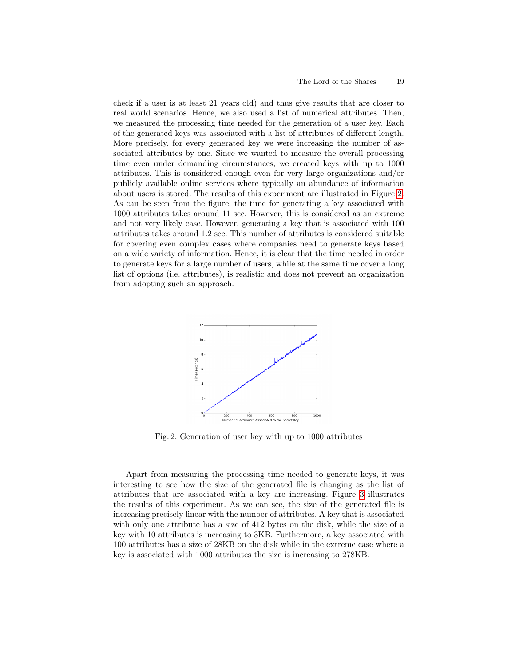check if a user is at least 21 years old) and thus give results that are closer to real world scenarios. Hence, we also used a list of numerical attributes. Then, we measured the processing time needed for the generation of a user key. Each of the generated keys was associated with a list of attributes of different length. More precisely, for every generated key we were increasing the number of associated attributes by one. Since we wanted to measure the overall processing time even under demanding circumstances, we created keys with up to 1000 attributes. This is considered enough even for very large organizations and/or publicly available online services where typically an abundance of information about users is stored. The results of this experiment are illustrated in Figure [2.](#page-18-0) As can be seen from the figure, the time for generating a key associated with 1000 attributes takes around 11 sec. However, this is considered as an extreme and not very likely case. However, generating a key that is associated with 100 attributes takes around 1.2 sec. This number of attributes is considered suitable for covering even complex cases where companies need to generate keys based on a wide variety of information. Hence, it is clear that the time needed in order to generate keys for a large number of users, while at the same time cover a long list of options (i.e. attributes), is realistic and does not prevent an organization from adopting such an approach.

<span id="page-18-0"></span>

Fig. 2: Generation of user key with up to 1000 attributes

Apart from measuring the processing time needed to generate keys, it was interesting to see how the size of the generated file is changing as the list of attributes that are associated with a key are increasing. Figure [3](#page-19-0) illustrates the results of this experiment. As we can see, the size of the generated file is increasing precisely linear with the number of attributes. A key that is associated with only one attribute has a size of 412 bytes on the disk, while the size of a key with 10 attributes is increasing to 3KB. Furthermore, a key associated with 100 attributes has a size of 28KB on the disk while in the extreme case where a key is associated with 1000 attributes the size is increasing to 278KB.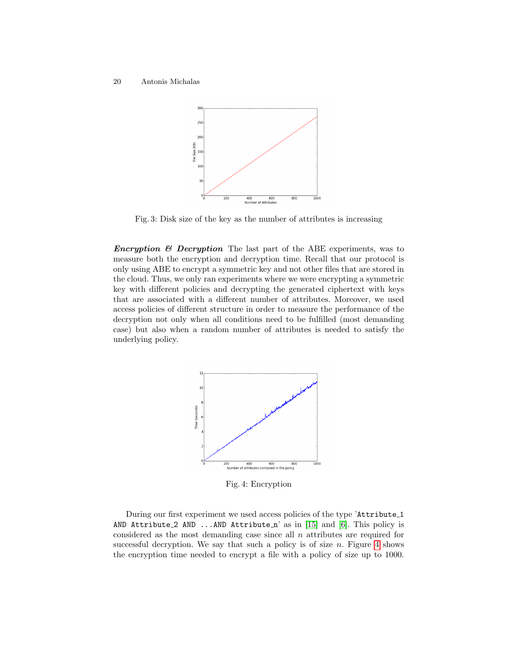<span id="page-19-0"></span>

Fig. 3: Disk size of the key as the number of attributes is increasing

**Encryption & Decryption** The last part of the ABE experiments, was to measure both the encryption and decryption time. Recall that our protocol is only using ABE to encrypt a symmetric key and not other files that are stored in the cloud. Thus, we only ran experiments where we were encrypting a symmetric key with different policies and decrypting the generated ciphertext with keys that are associated with a different number of attributes. Moreover, we used access policies of different structure in order to measure the performance of the decryption not only when all conditions need to be fulfilled (most demanding case) but also when a random number of attributes is needed to satisfy the underlying policy.

<span id="page-19-1"></span>

Fig. 4: Encryption

During our first experiment we used access policies of the type 'Attribute 1 AND Attribute 2 AND ...AND Attribute  $n'$  as in [\[15\]](#page-23-2) and [\[6\]](#page-22-3). This policy is considered as the most demanding case since all  $n$  attributes are required for successful decryption. We say that such a policy is of size  $n$ . Figure [4](#page-19-1) shows the encryption time needed to encrypt a file with a policy of size up to 1000.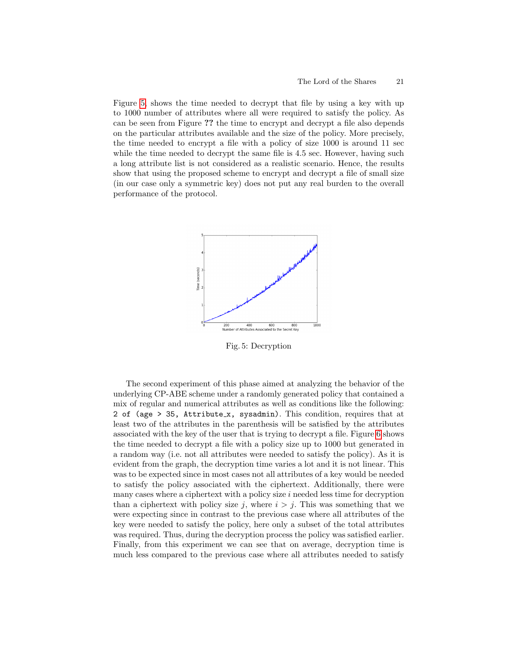Figure [5,](#page-20-0) shows the time needed to decrypt that file by using a key with up to 1000 number of attributes where all were required to satisfy the policy. As can be seen from Figure ?? the time to encrypt and decrypt a file also depends on the particular attributes available and the size of the policy. More precisely, the time needed to encrypt a file with a policy of size 1000 is around 11 sec while the time needed to decrypt the same file is 4.5 sec. However, having such a long attribute list is not considered as a realistic scenario. Hence, the results show that using the proposed scheme to encrypt and decrypt a file of small size (in our case only a symmetric key) does not put any real burden to the overall performance of the protocol.

<span id="page-20-0"></span>

Fig. 5: Decryption

The second experiment of this phase aimed at analyzing the behavior of the underlying CP-ABE scheme under a randomly generated policy that contained a mix of regular and numerical attributes as well as conditions like the following: 2 of (age > 35, Attribute x, sysadmin). This condition, requires that at least two of the attributes in the parenthesis will be satisfied by the attributes associated with the key of the user that is trying to decrypt a file. Figure [6](#page-21-0) shows the time needed to decrypt a file with a policy size up to 1000 but generated in a random way (i.e. not all attributes were needed to satisfy the policy). As it is evident from the graph, the decryption time varies a lot and it is not linear. This was to be expected since in most cases not all attributes of a key would be needed to satisfy the policy associated with the ciphertext. Additionally, there were many cases where a ciphertext with a policy size  $i$  needed less time for decryption than a ciphertext with policy size j, where  $i > j$ . This was something that we were expecting since in contrast to the previous case where all attributes of the key were needed to satisfy the policy, here only a subset of the total attributes was required. Thus, during the decryption process the policy was satisfied earlier. Finally, from this experiment we can see that on average, decryption time is much less compared to the previous case where all attributes needed to satisfy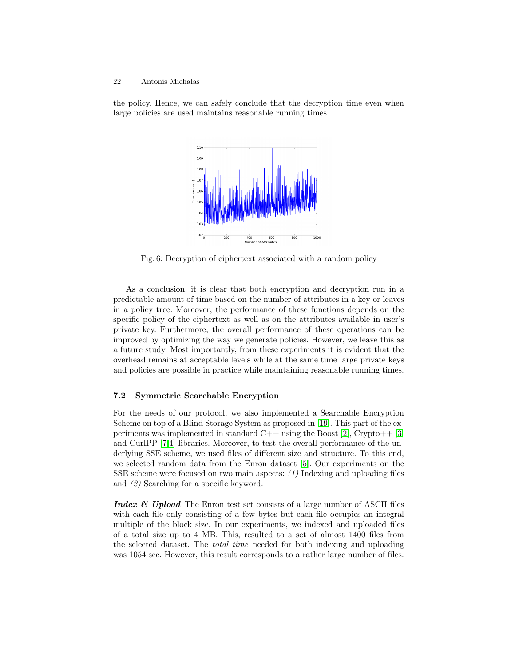<span id="page-21-0"></span>the policy. Hence, we can safely conclude that the decryption time even when large policies are used maintains reasonable running times.



Fig. 6: Decryption of ciphertext associated with a random policy

As a conclusion, it is clear that both encryption and decryption run in a predictable amount of time based on the number of attributes in a key or leaves in a policy tree. Moreover, the performance of these functions depends on the specific policy of the ciphertext as well as on the attributes available in user's private key. Furthermore, the overall performance of these operations can be improved by optimizing the way we generate policies. However, we leave this as a future study. Most importantly, from these experiments it is evident that the overhead remains at acceptable levels while at the same time large private keys and policies are possible in practice while maintaining reasonable running times.

## 7.2 Symmetric Searchable Encryption

For the needs of our protocol, we also implemented a Searchable Encryption Scheme on top of a Blind Storage System as proposed in [\[19\]](#page-23-14). This part of the experiments was implemented in standard  $C++$  using the Boost [\[2\]](#page-22-4), Crypto++ [\[3\]](#page-22-5) and CurlPP [\[7](#page-22-6)[,4\]](#page-22-7) libraries. Moreover, to test the overall performance of the underlying SSE scheme, we used files of different size and structure. To this end, we selected random data from the Enron dataset [\[5\]](#page-22-8). Our experiments on the SSE scheme were focused on two main aspects:  $(1)$  Indexing and uploading files and (2) Searching for a specific keyword.

**Index & Upload** The Enron test set consists of a large number of ASCII files with each file only consisting of a few bytes but each file occupies an integral multiple of the block size. In our experiments, we indexed and uploaded files of a total size up to 4 MB. This, resulted to a set of almost 1400 files from the selected dataset. The total time needed for both indexing and uploading was 1054 sec. However, this result corresponds to a rather large number of files.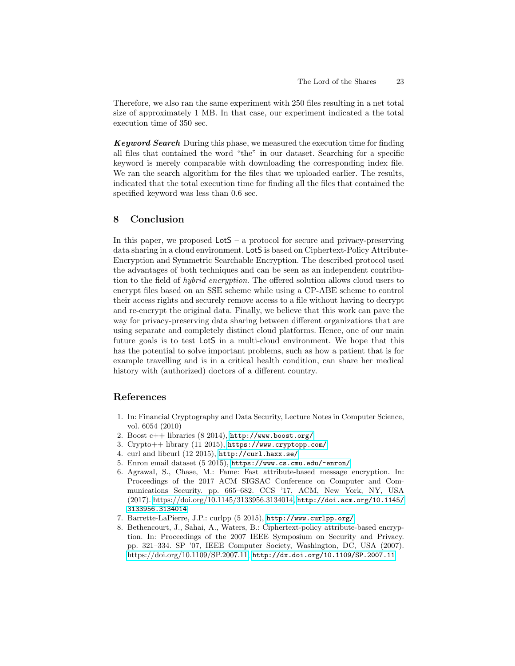Therefore, we also ran the same experiment with 250 files resulting in a net total size of approximately 1 MB. In that case, our experiment indicated a the total execution time of 350 sec.

Keyword Search During this phase, we measured the execution time for finding all files that contained the word "the" in our dataset. Searching for a specific keyword is merely comparable with downloading the corresponding index file. We ran the search algorithm for the files that we uploaded earlier. The results, indicated that the total execution time for finding all the files that contained the specified keyword was less than 0.6 sec.

# <span id="page-22-1"></span>8 Conclusion

In this paper, we proposed  $\textsf{LotS}$  – a protocol for secure and privacy-preserving data sharing in a cloud environment. LotS is based on Ciphertext-Policy Attribute-Encryption and Symmetric Searchable Encryption. The described protocol used the advantages of both techniques and can be seen as an independent contribution to the field of hybrid encryption. The offered solution allows cloud users to encrypt files based on an SSE scheme while using a CP-ABE scheme to control their access rights and securely remove access to a file without having to decrypt and re-encrypt the original data. Finally, we believe that this work can pave the way for privacy-preserving data sharing between different organizations that are using separate and completely distinct cloud platforms. Hence, one of our main future goals is to test LotS in a multi-cloud environment. We hope that this has the potential to solve important problems, such as how a patient that is for example travelling and is in a critical health condition, can share her medical history with (authorized) doctors of a different country.

# References

- <span id="page-22-2"></span>1. In: Financial Cryptography and Data Security, Lecture Notes in Computer Science, vol. 6054 (2010)
- <span id="page-22-4"></span>2. Boost c++ libraries (8 2014), <http://www.boost.org/>
- <span id="page-22-5"></span>3. Crypto++ library (11 2015), <https://www.cryptopp.com/>
- <span id="page-22-7"></span>4. curl and libcurl (12 2015), <http://curl.haxx.se/>
- <span id="page-22-8"></span>5. Enron email dataset (5 2015), <https://www.cs.cmu.edu/~enron/>
- <span id="page-22-3"></span>6. Agrawal, S., Chase, M.: Fame: Fast attribute-based message encryption. In: Proceedings of the 2017 ACM SIGSAC Conference on Computer and Communications Security. pp. 665–682. CCS '17, ACM, New York, NY, USA (2017). [https://doi.org/10.1145/3133956.3134014,](https://doi.org/10.1145/3133956.3134014) [http://doi.acm.org/10.1145/](http://doi.acm.org/10.1145/3133956.3134014) [3133956.3134014](http://doi.acm.org/10.1145/3133956.3134014)
- <span id="page-22-6"></span>7. Barrette-LaPierre, J.P.: curlpp (5 2015), <http://www.curlpp.org/>
- <span id="page-22-0"></span>8. Bethencourt, J., Sahai, A., Waters, B.: Ciphertext-policy attribute-based encryption. In: Proceedings of the 2007 IEEE Symposium on Security and Privacy. pp. 321–334. SP '07, IEEE Computer Society, Washington, DC, USA (2007). [https://doi.org/10.1109/SP.2007.11,](https://doi.org/10.1109/SP.2007.11) <http://dx.doi.org/10.1109/SP.2007.11>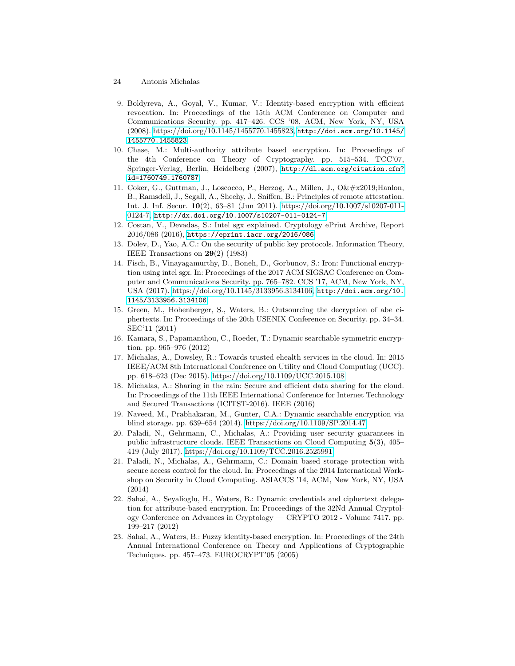- 24 Antonis Michalas
- <span id="page-23-7"></span>9. Boldyreva, A., Goyal, V., Kumar, V.: Identity-based encryption with efficient revocation. In: Proceedings of the 15th ACM Conference on Computer and Communications Security. pp. 417–426. CCS '08, ACM, New York, NY, USA (2008). [https://doi.org/10.1145/1455770.1455823,](https://doi.org/10.1145/1455770.1455823) [http://doi.acm.org/10.1145/](http://doi.acm.org/10.1145/1455770.1455823) [1455770.1455823](http://doi.acm.org/10.1145/1455770.1455823)
- <span id="page-23-13"></span>10. Chase, M.: Multi-authority attribute based encryption. In: Proceedings of the 4th Conference on Theory of Cryptography. pp. 515–534. TCC'07, Springer-Verlag, Berlin, Heidelberg (2007), [http://dl.acm.org/citation.cfm?](http://dl.acm.org/citation.cfm?id=1760749.1760787) [id=1760749.1760787](http://dl.acm.org/citation.cfm?id=1760749.1760787)
- <span id="page-23-11"></span>11. Coker, G., Guttman, J., Loscocco, P., Herzog, A., Millen, J., O' Hanlon, B., Ramsdell, J., Segall, A., Sheehy, J., Sniffen, B.: Principles of remote attestation. Int. J. Inf. Secur. 10(2), 63–81 (Jun 2011). [https://doi.org/10.1007/s10207-011-](https://doi.org/10.1007/s10207-011-0124-7) [0124-7,](https://doi.org/10.1007/s10207-011-0124-7) <http://dx.doi.org/10.1007/s10207-011-0124-7>
- <span id="page-23-9"></span>12. Costan, V., Devadas, S.: Intel sgx explained. Cryptology ePrint Archive, Report 2016/086 (2016), <https://eprint.iacr.org/2016/086>
- <span id="page-23-10"></span>13. Dolev, D., Yao, A.C.: On the security of public key protocols. Information Theory, IEEE Transactions on 29(2) (1983)
- <span id="page-23-12"></span>14. Fisch, B., Vinayagamurthy, D., Boneh, D., Gorbunov, S.: Iron: Functional encryption using intel sgx. In: Proceedings of the 2017 ACM SIGSAC Conference on Computer and Communications Security. pp. 765–782. CCS '17, ACM, New York, NY, USA (2017). [https://doi.org/10.1145/3133956.3134106,](https://doi.org/10.1145/3133956.3134106) [http://doi.acm.org/10.](http://doi.acm.org/10.1145/3133956.3134106) [1145/3133956.3134106](http://doi.acm.org/10.1145/3133956.3134106)
- <span id="page-23-2"></span>15. Green, M., Hohenberger, S., Waters, B.: Outsourcing the decryption of abe ciphertexts. In: Proceedings of the 20th USENIX Conference on Security. pp. 34–34. SEC'11 (2011)
- <span id="page-23-0"></span>16. Kamara, S., Papamanthou, C., Roeder, T.: Dynamic searchable symmetric encryption. pp. 965–976 (2012)
- <span id="page-23-5"></span>17. Michalas, A., Dowsley, R.: Towards trusted ehealth services in the cloud. In: 2015 IEEE/ACM 8th International Conference on Utility and Cloud Computing (UCC). pp. 618–623 (Dec 2015).<https://doi.org/10.1109/UCC.2015.108>
- <span id="page-23-6"></span>18. Michalas, A.: Sharing in the rain: Secure and efficient data sharing for the cloud. In: Proceedings of the 11th IEEE International Conference for Internet Technology and Secured Transactions (ICITST-2016). IEEE (2016)
- <span id="page-23-14"></span>19. Naveed, M., Prabhakaran, M., Gunter, C.A.: Dynamic searchable encryption via blind storage. pp. 639–654 (2014).<https://doi.org/10.1109/SP.2014.47>
- <span id="page-23-3"></span>20. Paladi, N., Gehrmann, C., Michalas, A.: Providing user security guarantees in public infrastructure clouds. IEEE Transactions on Cloud Computing 5(3), 405– 419 (July 2017).<https://doi.org/10.1109/TCC.2016.2525991>
- <span id="page-23-4"></span>21. Paladi, N., Michalas, A., Gehrmann, C.: Domain based storage protection with secure access control for the cloud. In: Proceedings of the 2014 International Workshop on Security in Cloud Computing. ASIACCS '14, ACM, New York, NY, USA (2014)
- <span id="page-23-8"></span>22. Sahai, A., Seyalioglu, H., Waters, B.: Dynamic credentials and ciphertext delegation for attribute-based encryption. In: Proceedings of the 32Nd Annual Cryptology Conference on Advances in Cryptology — CRYPTO 2012 - Volume 7417. pp. 199–217 (2012)
- <span id="page-23-1"></span>23. Sahai, A., Waters, B.: Fuzzy identity-based encryption. In: Proceedings of the 24th Annual International Conference on Theory and Applications of Cryptographic Techniques. pp. 457–473. EUROCRYPT'05 (2005)